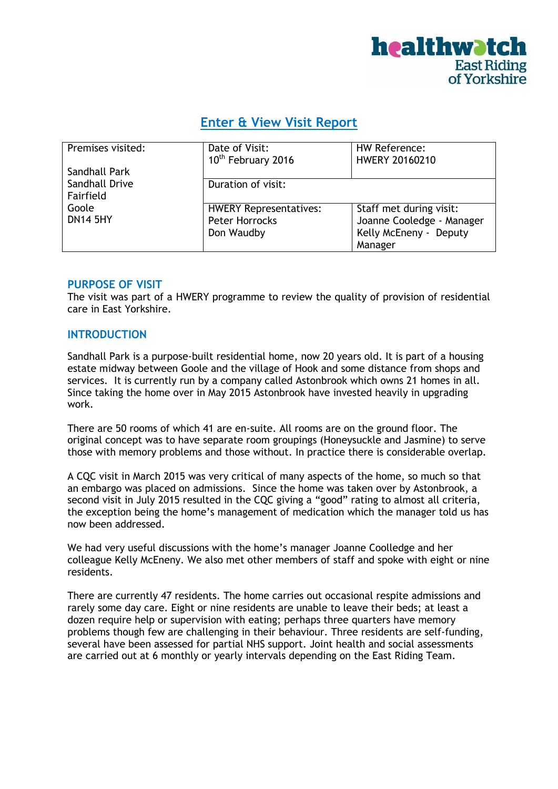

# **Enter & View Visit Report**

| Premises visited: | Date of Visit:<br>10 <sup>th</sup> February 2016 | HW Reference:<br><b>HWERY 20160210</b> |
|-------------------|--------------------------------------------------|----------------------------------------|
| Sandhall Park     |                                                  |                                        |
| Sandhall Drive    | Duration of visit:                               |                                        |
| Fairfield         |                                                  |                                        |
| Goole             | <b>HWERY Representatives:</b>                    | Staff met during visit:                |
| <b>DN14 5HY</b>   | Peter Horrocks                                   | Joanne Cooledge - Manager              |
|                   | Don Waudby                                       | Kelly McEneny - Deputy                 |
|                   |                                                  | Manager                                |

#### **PURPOSE OF VISIT**

The visit was part of a HWERY programme to review the quality of provision of residential care in East Yorkshire.

# **INTRODUCTION**

Sandhall Park is a purpose-built residential home, now 20 years old. It is part of a housing estate midway between Goole and the village of Hook and some distance from shops and services. It is currently run by a company called Astonbrook which owns 21 homes in all. Since taking the home over in May 2015 Astonbrook have invested heavily in upgrading work.

There are 50 rooms of which 41 are en-suite. All rooms are on the ground floor. The original concept was to have separate room groupings (Honeysuckle and Jasmine) to serve those with memory problems and those without. In practice there is considerable overlap.

A CQC visit in March 2015 was very critical of many aspects of the home, so much so that an embargo was placed on admissions. Since the home was taken over by Astonbrook, a second visit in July 2015 resulted in the CQC giving a "good" rating to almost all criteria, the exception being the home's management of medication which the manager told us has now been addressed.

We had very useful discussions with the home's manager Joanne Coolledge and her colleague Kelly McEneny. We also met other members of staff and spoke with eight or nine residents.

There are currently 47 residents. The home carries out occasional respite admissions and rarely some day care. Eight or nine residents are unable to leave their beds; at least a dozen require help or supervision with eating; perhaps three quarters have memory problems though few are challenging in their behaviour. Three residents are self-funding, several have been assessed for partial NHS support. Joint health and social assessments are carried out at 6 monthly or yearly intervals depending on the East Riding Team.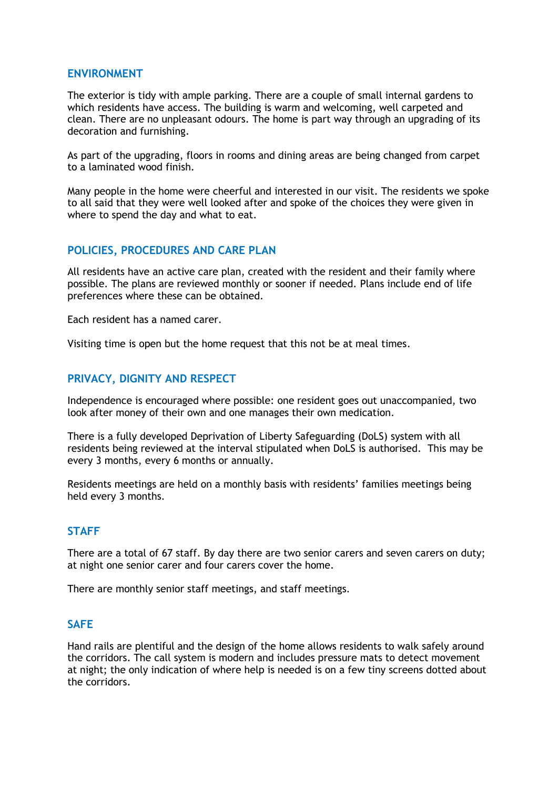# **ENVIRONMENT**

The exterior is tidy with ample parking. There are a couple of small internal gardens to which residents have access. The building is warm and welcoming, well carpeted and clean. There are no unpleasant odours. The home is part way through an upgrading of its decoration and furnishing.

As part of the upgrading, floors in rooms and dining areas are being changed from carpet to a laminated wood finish.

Many people in the home were cheerful and interested in our visit. The residents we spoke to all said that they were well looked after and spoke of the choices they were given in where to spend the day and what to eat.

# **POLICIES, PROCEDURES AND CARE PLAN**

All residents have an active care plan, created with the resident and their family where possible. The plans are reviewed monthly or sooner if needed. Plans include end of life preferences where these can be obtained.

Each resident has a named carer.

Visiting time is open but the home request that this not be at meal times.

# **PRIVACY, DIGNITY AND RESPECT**

Independence is encouraged where possible: one resident goes out unaccompanied, two look after money of their own and one manages their own medication.

There is a fully developed Deprivation of Liberty Safeguarding (DoLS) system with all residents being reviewed at the interval stipulated when DoLS is authorised. This may be every 3 months, every 6 months or annually.

Residents meetings are held on a monthly basis with residents' families meetings being held every 3 months.

# **STAFF**

There are a total of 67 staff. By day there are two senior carers and seven carers on duty; at night one senior carer and four carers cover the home.

There are monthly senior staff meetings, and staff meetings.

#### **SAFE**

Hand rails are plentiful and the design of the home allows residents to walk safely around the corridors. The call system is modern and includes pressure mats to detect movement at night; the only indication of where help is needed is on a few tiny screens dotted about the corridors.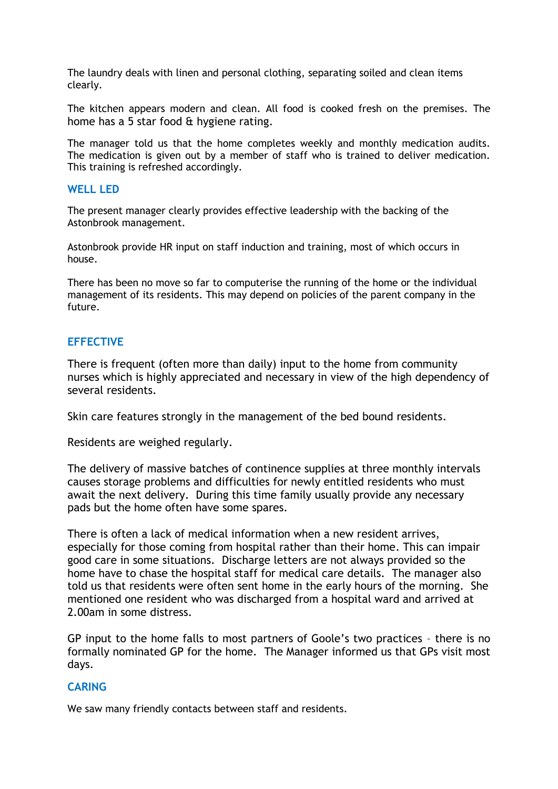The laundry deals with linen and personal clothing, separating soiled and clean items clearly.

The kitchen appears modern and clean. All food is cooked fresh on the premises. The home has a 5 star food & hygiene rating.

The manager told us that the home completes weekly and monthly medication audits. The medication is given out by a member of staff who is trained to deliver medication. This training is refreshed accordingly.

#### **WELL LED**

The present manager clearly provides effective leadership with the backing of the Astonbrook management.

Astonbrook provide HR input on staff induction and training, most of which occurs in house.

There has been no move so far to computerise the running of the home or the individual management of its residents. This may depend on policies of the parent company in the future.

# **EFFECTIVE**

There is frequent (often more than daily) input to the home from community nurses which is highly appreciated and necessary in view of the high dependency of several residents.

Skin care features strongly in the management of the bed bound residents.

Residents are weighed regularly.

The delivery of massive batches of continence supplies at three monthly intervals causes storage problems and difficulties for newly entitled residents who must await the next delivery. During this time family usually provide any necessary pads but the home often have some spares.

There is often a lack of medical information when a new resident arrives, especially for those coming from hospital rather than their home. This can impair good care in some situations. Discharge letters are not always provided so the home have to chase the hospital staff for medical care details. The manager also told us that residents were often sent home in the early hours of the morning. She mentioned one resident who was discharged from a hospital ward and arrived at 2.00am in some distress.

GP input to the home falls to most partners of Goole's two practices – there is no formally nominated GP for the home. The Manager informed us that GPs visit most days.

# **CARING**

We saw many friendly contacts between staff and residents.